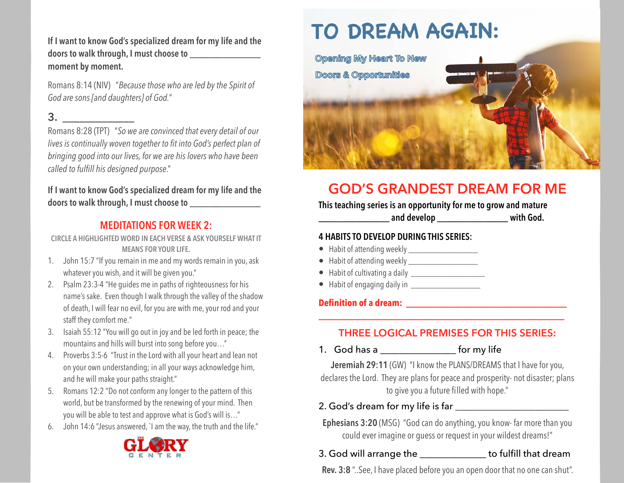**If I want to know God's specialized dream for my life and the doors to walk through, I must choose to \_\_\_\_\_\_\_\_\_\_\_\_\_\_\_ moment by moment.**

Romans 8:14 (NIV) "*Because those who are led by the Spirit of God are sons [and daughters] of God.*"

## **3. \_\_\_\_\_\_\_\_\_\_\_\_\_**

Romans 8:28 (TPT) "*So we are convinced that every detail of our lives is continually woven together to fit into God's perfect plan of bringing good into our lives, for we are his lovers who have been called to fulfill his designed purpose*."

#### **If I want to know God's specialized dream for my life and the doors to walk through, I must choose to \_\_\_\_\_\_\_\_\_\_\_\_\_\_\_**

#### **MEDITATIONS FOR WEEK 2:**

**CIRCLE A HIGHLIGHTED WORD IN EACH VERSE & ASK YOURSELF WHAT IT MEANS FOR YOUR LIFE.**

- 1. John 15:7 "If you remain in me and my words remain in you, ask whatever you wish, and it will be given you."
- 2. Psalm 23:3-4 "He guides me in paths of righteousness for his name's sake. Even though I walk through the valley of the shadow of death, I will fear no evil, for you are with me, your rod and your staff they comfort me."
- 3. Isaiah 55:12 "You will go out in joy and be led forth in peace; the mountains and hills will burst into song before you…"
- 4. Proverbs 3:5-6 "Trust in the Lord with all your heart and lean not on your own understanding; in all your ways acknowledge him, and he will make your paths straight."
- 5. Romans 12:2 "Do not conform any longer to the pattern of this world, but be transformed by the renewing of your mind. Then you will be able to test and approve what is God's will is…"
- 6. John 14:6 "Jesus answered, `I am the way, the truth and the life."



# **TO DREAM AGAIN:**



# **GOD'S GRANDEST DREAM FOR ME**

#### **This teaching series is an opportunity for me to grow and mature**

**\_\_\_\_\_\_\_\_\_\_\_\_\_\_\_ and develop \_\_\_\_\_\_\_\_\_\_\_\_\_\_\_ with God.**

#### **4 HABITS TO DEVELOP DURING THIS SERIES:**

- Habit of attending weekly \_\_\_\_\_\_\_\_\_\_\_\_\_\_\_\_\_\_
- Habit of attending weekly \_\_\_\_\_\_\_\_\_\_\_\_\_\_\_\_
- Habit of cultivating a daily \_\_\_\_\_\_\_\_\_\_\_\_\_\_\_\_\_
- Habit of engaging daily in \_\_\_\_\_\_\_\_\_\_\_\_\_\_\_\_

#### **Definition of a dream: \_\_\_\_\_\_\_\_\_\_\_\_\_\_\_\_\_\_\_\_\_\_\_\_\_\_\_\_\_\_\_\_\_\_**

#### **THREE LOGICAL PREMISES FOR THIS SERIES:**

**\_\_\_\_\_\_\_\_\_\_\_\_\_\_\_\_\_\_\_\_\_\_\_\_\_\_\_\_\_\_\_\_\_\_\_\_\_\_\_\_\_\_\_\_\_\_\_\_\_\_\_\_** 

1. God has a \_\_\_\_\_\_\_\_\_\_\_\_\_\_\_\_\_\_\_\_ for my life

**Jeremiah 29:11** (GW) "I know the PLANS/DREAMS that I have for you, declares the Lord. They are plans for peace and prosperity- not disaster; plans to give you a future filled with hope."

2. God's dream for my life is far **with the set of the set of the set of the set of the set of the set of the set of the set of the set of the set of the set of the set of the set of the set of the set of the set of the se** 

**Ephesians 3:20** (MSG) "God can do anything, you know- far more than you could ever imagine or guess or request in your wildest dreams!"

#### 3. God will arrange the the to fulfill that dream

**Rev. 3:8** "..See, I have placed before you an open door that no one can shut".